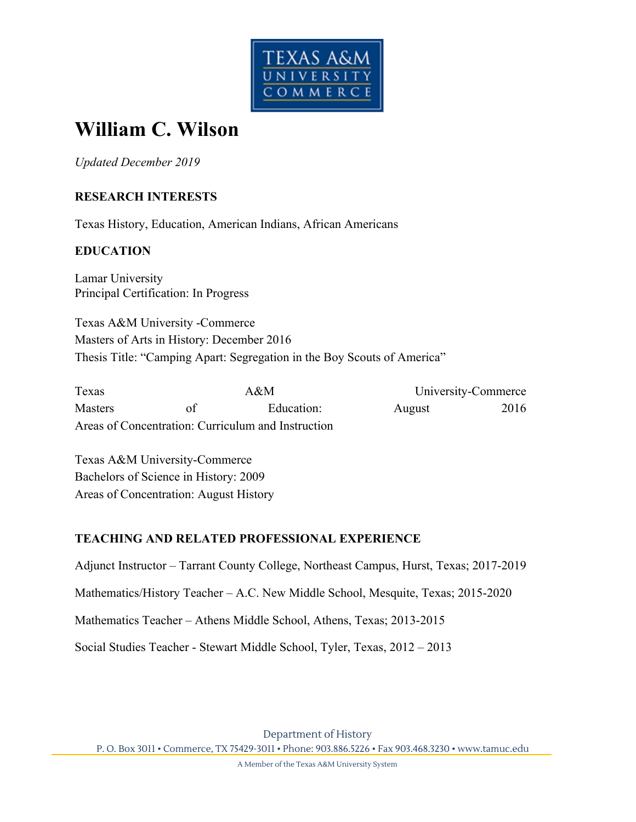

# **William C. Wilson**

*Updated December 2019* 

## **RESEARCH INTERESTS**

Texas History, Education, American Indians, African Americans

## **EDUCATION**

Lamar University Principal Certification: In Progress

Texas A&M University -Commerce Masters of Arts in History: December 2016 Thesis Title: "Camping Apart: Segregation in the Boy Scouts of America"

Texas A&M University-Commerce Masters of Education: August 2016 Areas of Concentration: Curriculum and Instruction

Texas A&M University-Commerce Bachelors of Science in History: 2009 Areas of Concentration: August History

#### **TEACHING AND RELATED PROFESSIONAL EXPERIENCE**

Adjunct Instructor – Tarrant County College, Northeast Campus, Hurst, Texas; 2017-2019

Mathematics/History Teacher – A.C. New Middle School, Mesquite, Texas; 2015-2020

Mathematics Teacher – Athens Middle School, Athens, Texas; 2013-2015

Social Studies Teacher - Stewart Middle School, Tyler, Texas, 2012 – 2013

Department of History P. O. Box 3011 • Commerce, TX 75429-3011 • Phone: 903.886.5226 • Fax 903.468.3230 • www.tamuc.edu